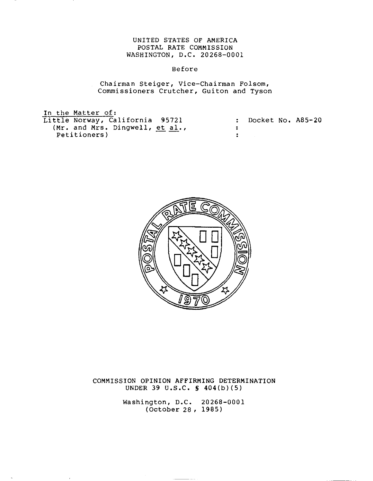# UNITED STATES OF AMERICA POSTAL RATE COMMISSION WASHINGTON, D.C. 20268-0001

# Before

Chairman Steiger, Vice-Chairman Folsom, Commissioners Crutcher, Guiton and Tyson

In the Matter of: Little Norway, California 95721 (Mr. and Mrs. Dingwell, et al., Petitioners)

| : Docket No. A85-20 |  |
|---------------------|--|
|                     |  |
|                     |  |



COMMISSION OPINION AFFIRMING DETERMINATION UNDER 39 U.S.C. § 404(b)(5)

> Washington, D.C. 20268-0001 (October 28, 1985)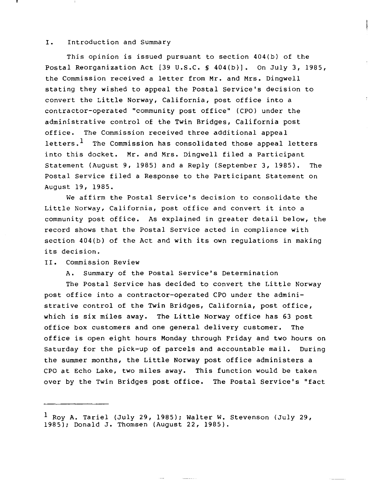#### I. Introduction and Summary

This opinion is issued pursuant to section 404(b) of the Postal Reorganization Act [39 U.S.C. § 404(b)]. On July 3, 1985, the Commission received <sup>a</sup> letter from Mr. and Mrs. Dingwell stating they wished to appeal the Postal Service's decision to convert the Little Norway, California, post office into <sup>a</sup> contractor-operated "community post office" (CPO) under the administrative control of the Twin Bridges, California post office. The Commission received three additional appeal letters. $<sup>1</sup>$  The Commission has consolidated those appeal letters</sup> into this docket. Mr. and Mrs. Dingwell filed <sup>a</sup> Participant Statement (August 9, 1985) and a Reply (September 3, 1985). The Postal Service filed a Response to the Participant Statement on August 19, 1985.

 $\pm$ 

We affirm the Postal Service's decision to consolidate the Little Norway, California, post office and convert it into <sup>a</sup> community post office. As explained in greater detail below, the record shows that the Postal Service acted in compliance with section 404(b) of the Act and with its own regulations in making its decision.

### II. Commission Review

A. Summary of the Postal Service's Determination

The Postal Service has decided to convert the Little Norway post office into a contractor-operated CPO under the administrative control of the Twin Bridges, California, post office, which is six miles away. The Little Norway office has <sup>63</sup> post office box customers and one general delivery customer. The office is open eight hours Monday through Friday and two hours on Saturday for the pick-up of parcels and accountable mail. During the summer months, the Little Norway post office administers <sup>a</sup> CPO at Echo Lake, two miles away. This function would be taken over by the Twin Bridges post office. The Postal Service's "fact

 $<sup>1</sup>$  Roy A. Tariel (July 29, 1985); Walter W. Stevenson (July 29,</sup> 1985); Donald J. Thomsen (August 22, 1985).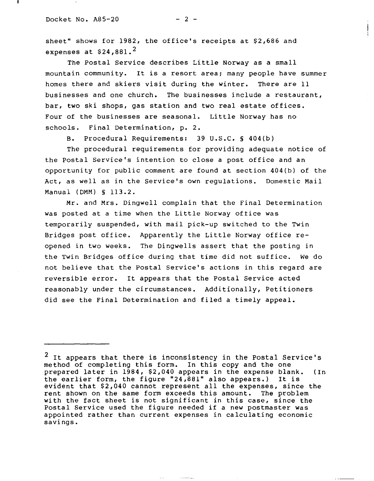sheet" shows for 1982, the office's receipts at \$2,686 and expenses at  $$24,881.^2$ 

The Postal Service describes Little Norway as <sup>a</sup> small mountain community. It is <sup>a</sup> resort area; many people have summer homes there and skiers visit during the winter. There are <sup>11</sup> businesses and one church. The businesses include a restaurant, bar, two ski shops, gas station and two real estate offices. Four of the businesses are seasonal. Little Norway has no schools. Final Determination, p. 2.

B. Procedural Requirements: 39 U.S.C. § 404(b)

The procedural requirements for providing adequate notice of the Postal Service's intention to close a post office and an opportunity for public comment are found at section 404(b) of the Act, as well as in the Service's own regulations. Domestic Mail Manual (DMM) s 113.2.

Mr. and Mrs. Dingwell complain that the Final Determination was posted at <sup>a</sup> time when the Little Norway oftice was temporarily suspended, with mail pick-up switched to the Twin Bridges post office. Apparently the Little Norway office reopened in two weeks. The Dingwells assert that the posting in the Twin Bridges office during that time did not suffice. We do not believe that the Postal Service's actions in this regard are reversible error. It appears that the Postal Service acted reasonably under the circumstances. Additionally, Petitioners did see the Final Determination and filed a timely appeal.

<sup>&</sup>lt;sup>2</sup> It appears that there is inconsistency in the Postal Service's method of completing this form. In this copy and the one prepared later in 1984, \$2,040 appears in the expense blank. (In the earlier form, the figure "24,881" also appears.) It is the earlier form, the figure "24,881" also appears.) evident that \$2,040 cannot represent all the expenses, since the rent shown on the same form exceeds this amount. The problem with the fact sheet is not significant in this case, since the Postal Service used the figure needed if a new postmaster was appointed rather than current expenses in calculating economic savings.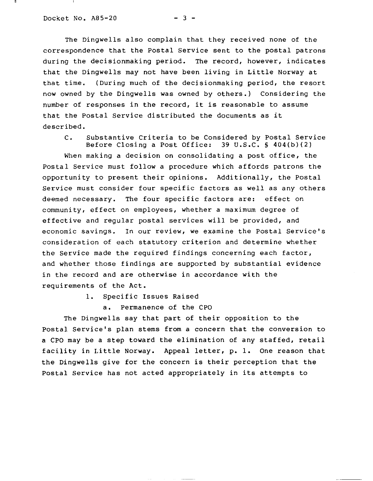The Dingwells also complain that they received none of the correspondence that the Postal Service sent to the postal patrons during the decisionmaking period. The record, however, indicates that the Dingwells may not have been living in Little Norway at that time. (During much of the decisionmaking period, the resort now owned by the Dingwells was owned by others.) Considering the number of responses in the record, it is reasonable to assume that the Postal Service distributed the documents as it described.

C. Substantive Criteria to be Considered by Postal Service Before Closing a Post Office:  $39 \text{ U.S.C. }$  \$ 404(b)(2)

When making a decision on consolidating a post office, the Postal Service must follow a procedure which affords patrons the opportunity to present their opinions. Additionally, the Postal Service must consider four specific factors as well as any others deemed necessary. The four specific factors are: effect on community, effect on employees, whether a maximum degree of effective and regular postal services will be provided, and economic savings. In our review, we examine the Postal Service's consideration of each statutory criterion and determine whether the Service made the required findings concerning each factor, and whether those findings are supported by substantial evidence in the record and are otherwise in accordance with the requirements of the Act.

1. Specific Issues Raised

a. Permanence of the CPO

The Dingwells say that part of their opposition to the Postal Service's plan stems from a concern that the conversion to a CPO may be <sup>a</sup> step toward the elimination of any staffed, retail facility in Little Norway. Appeal letter, p. 1. One reason that the Dingwells give for the concern is their perception that the Postal Service has not acted appropriately in its attempts to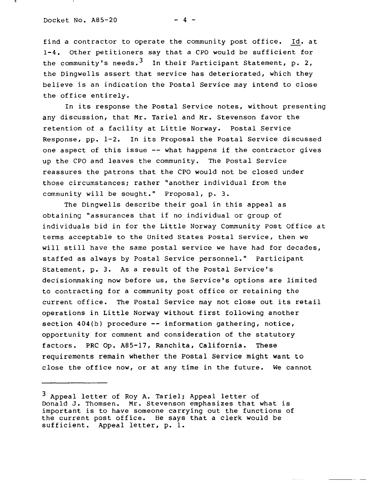Docket No.  $A85-20$  - 4 -

find <sup>a</sup> contractor to operate the community post office. Id. at 1-4. Other petitioners say that a CPO would be sufficient for the community's needs.<sup>3</sup> In their Participant Statement, p. 2, the Dingwells assert that service has deteriorated, which they believe is an indication the Postal Service may intend to close the office entirely.

In its response the Postal Service notes, without presenting any discussion, that Mr. Tariel and Mr. Stevenson favor the retention of <sup>a</sup> facility at Little Norway. Postal Service Response, pp. 1-2. In its Proposal the Postal Service discussed one aspect of this issue -- what happens if the contractor gives up the CPO and leaves the community. The Postal Service reassures the patrons that the CPO would not be closed under those circumstances; rather "another individual from the community will be sought." Proposal, p. 3.

The Dingwells describe their goal in this appeal as obtaining "assurances that if no individual or group of individuals bid in for the Little Norway Community Post Office at terms acceptable to the united States Postal Service, then we will still have the same postal service we have had for decades, staffed as always by Postal Service personnel." Participant Statement, p. 3. As a result of the Postal Service's decisionmaking now before us, the Service's options are limited to contracting for a community post office or retaining the current office. The Postal Service may not close out its retail operations in Little Norway without first following another section  $404(b)$  procedure  $--$  information gathering, notice, opportunity for comment and consideration of the statutory factors. PRC Op. A85-17, Ranchita, California. These requirements remain whether the Postal Service might want to close the office now, or at any time in the future. We cannot

<sup>3</sup> Appeal letter of Roy A. Tariel; Appeal letter of Donald J. Thomsen. Mr. Stevenson emphasizes that what is important is to have someone carrying out the functions of the current post office. He says that <sup>a</sup> clerk would be sufficient. Appeal letter, p. 1.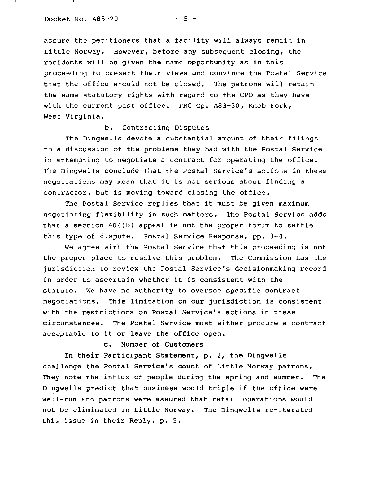assure the petitioners that <sup>a</sup> facility will always remain in Little Norway. However, before any subsequent closing, the residents will be given the same opportunity as in this proceeding to present their views and convince the Postal service that the office should not be closed. The patrons will retain the same statutory rights with regard to the CPO as they have with the current post office. PRC Op. A83-30, Knob Fork, West Virginia.

# b. Contracting Disputes

The Dingwells devote <sup>a</sup> substantial amount of their filings to a discussion of the problems they had with the Postal Service in attempting to negotiate a contract for operating the office. The Dingwells conclude that the Postal Service's actions in these negotiations may mean that it is not serious about finding <sup>a</sup> contractor, but is moving toward closing the office.

The Postal Service replies that it must be given maximum negotiating flexibility in such matters. The Postal Service adds that <sup>a</sup> section 404(b) appeal is not the proper forum to settle this type of dispute. Postal Service Response, pp. 3-4.

We agree with the Postal Service that this proceeding is not the proper place to resolve this problem. The Commission has the jurisdiction to review the Postal Service's decisionmaking record in order to ascertain whether it is consistent with the statute. We have no authority to oversee specific contract negotiations. This limitation on our jurisdiction is consistent with the restrictions on Postal Service's actions in these circumstances. The Postal Service must either procure a contract acceptable to it or leave the office open.

c. Number of Customers

In their Participant Statement, **p.** 2, the Dingwells challenge the Postal Service's count of Little Norway patrons. They note the influx of people during the spring and summer. The Dingwells predict that business would triple if the office were well-run and patrons were assured that retail operations would not be eliminated in Little Norway. The Dingwells re-iterated this issue in their Reply, **p. 5.**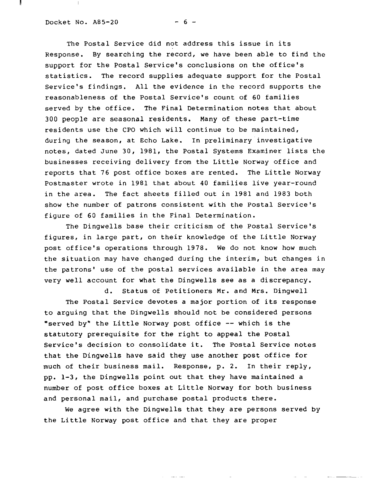#### Docket No.  $A85-20$  - 6 -

 $\parallel$ 

The Postal Service did not address this issue in its Response. By searching the record, we have been able to find the support for the Postal Service's conclusions on the office's statistics. The record supplies adequate support for the Postal Service's findings. All the evidence in the record supports the reasonableness of the Postal Service's count of 60 families served by the office. The Final Determination notes that about 300 people are seasonal residents. Many of these part-time residents use the CPO which will continue to be maintained, during the season, at Echo Lake. In preliminary investigative notes, dated June 30, 1981, the Postal Systems Examiner lists the businesses receiving delivery from the Little Norway office and reports that 76 post office boxes are rented. The Little Norway Postmaster wrote in 1981 that about 40 families live year-round in the area. The fact sheets filled out in 1981 and 1983 both show the number of patrons consistent with the Postal Service's figure of 60 families in the Final Determination.

The Dingwells base their criticism of the Postal Service's figures, in large part, on their knowledge of the Little Norway post office's operations through 1978. We do not know how much the situation may have changed during the interim, but changes in the patrons' use of the postal services available in the area may very well account for what the Dingwells see as a discrepancy.

d. Status of Petitioners Mr. and Mrs. Dingwell The Postal Service devotes <sup>a</sup> major portion of its response

to arguing that the Dingwells should not be considered persons "served by" the Little Norway post office -- which is the statutory prerequisite for the right to appeal the Postal Service's decision to consolidate it. The Postal Service notes that the Dingwells have said they use another post office for much of their business mail. Response, p. 2. In their reply, pp. 1-3, the Dingwells point out that they have maintained a number of post office boxes at Little Norway for both business and personal mail, and purchase postal products there.

We agree with the Dingwells that they are persons served by the Little Norway post office and that they are proper